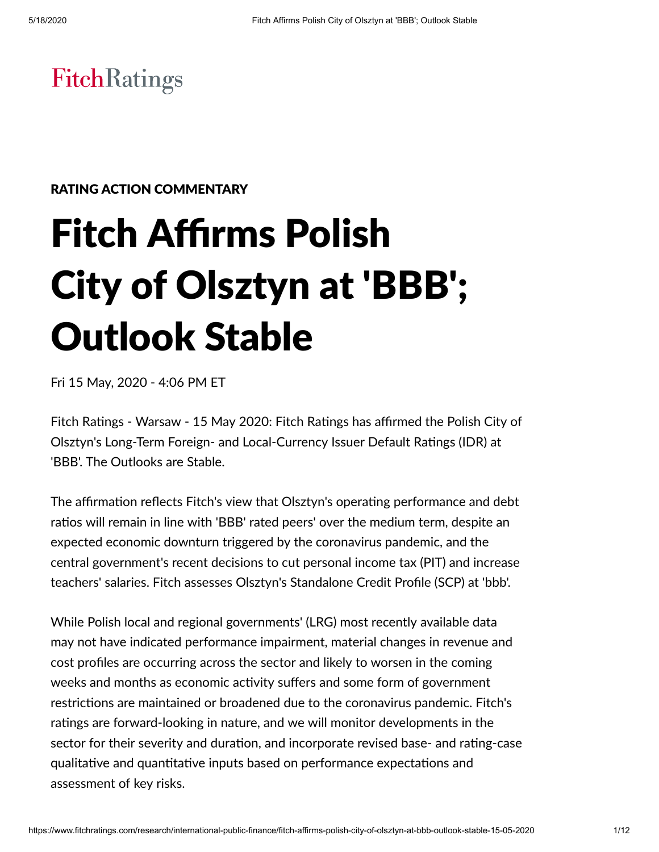# **FitchRatings**

# RATING ACTION COMMENTARY

# Fitch Affirms Polish City of Olsztyn at 'BBB'; Outlook Stable

Fri 15 May, 2020 - 4:06 PM ET

Fitch Ratings - Warsaw - 15 May 2020: Fitch Ratings has affirmed the Polish City of Olsztyn's Long-Term Foreign- and Local-Currency Issuer Default Ratings (IDR) at 'BBB'. The Outlooks are Stable.

The affirmation reflects Fitch's view that Olsztyn's operating performance and debt ratios will remain in line with 'BBB' rated peers' over the medium term, despite an expected economic downturn triggered by the coronavirus pandemic, and the central government's recent decisions to cut personal income tax (PIT) and increase teachers' salaries. Fitch assesses Olsztyn's Standalone Credit Profile (SCP) at 'bbb'.

While Polish local and regional governments' (LRG) most recently available data may not have indicated performance impairment, material changes in revenue and cost profiles are occurring across the sector and likely to worsen in the coming weeks and months as economic activity suffers and some form of government restrictions are maintained or broadened due to the coronavirus pandemic. Fitch's ratings are forward-looking in nature, and we will monitor developments in the sector for their severity and duration, and incorporate revised base- and rating-case qualitative and quantitative inputs based on performance expectations and assessment of key risks.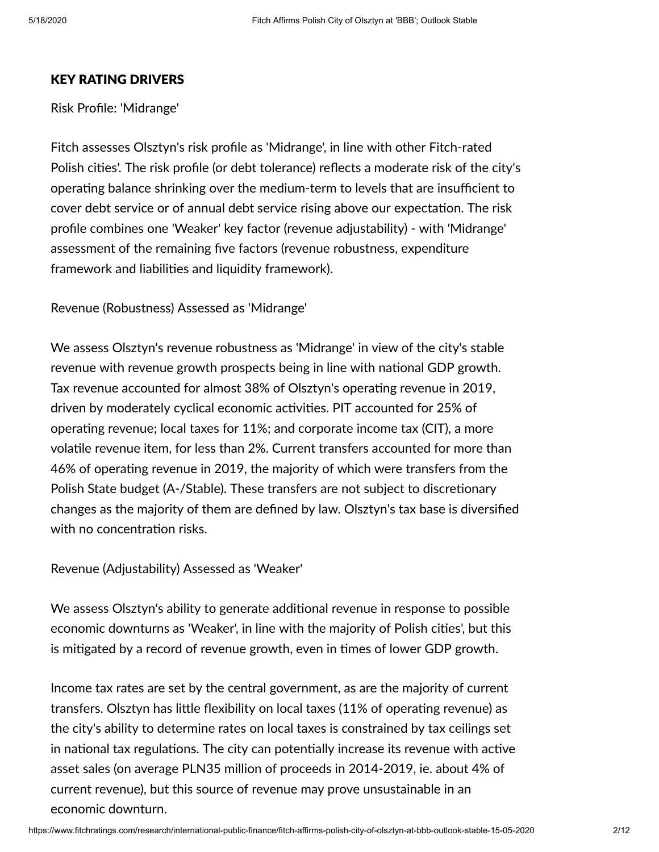#### KEY RATING DRIVERS

Risk Profile: 'Midrange'

Fitch assesses Olsztyn's risk profile as 'Midrange', in line with other Fitch-rated Polish cities'. The risk profile (or debt tolerance) reflects a moderate risk of the city's operating balance shrinking over the medium-term to levels that are insufficient to cover debt service or of annual debt service rising above our expectation. The risk profile combines one 'Weaker' key factor (revenue adjustability) - with 'Midrange' assessment of the remaining five factors (revenue robustness, expenditure framework and liabilities and liquidity framework).

Revenue (Robustness) Assessed as 'Midrange'

We assess Olsztyn's revenue robustness as 'Midrange' in view of the city's stable revenue with revenue growth prospects being in line with national GDP growth. Tax revenue accounted for almost 38% of Olsztyn's operating revenue in 2019, driven by moderately cyclical economic activities. PIT accounted for 25% of operating revenue; local taxes for 11%; and corporate income tax (CIT), a more volatile revenue item, for less than 2%. Current transfers accounted for more than 46% of operating revenue in 2019, the majority of which were transfers from the Polish State budget (A-/Stable). These transfers are not subject to discretionary changes as the majority of them are defined by law. Olsztyn's tax base is diversified with no concentration risks.

Revenue (Adjustability) Assessed as 'Weaker'

We assess Olsztyn's ability to generate additional revenue in response to possible economic downturns as 'Weaker', in line with the majority of Polish cities', but this is mitigated by a record of revenue growth, even in times of lower GDP growth.

Income tax rates are set by the central government, as are the majority of current transfers. Olsztyn has little flexibility on local taxes (11% of operating revenue) as the city's ability to determine rates on local taxes is constrained by tax ceilings set in national tax regulations. The city can potentially increase its revenue with active asset sales (on average PLN35 million of proceeds in 2014-2019, ie. about 4% of current revenue), but this source of revenue may prove unsustainable in an economic downturn.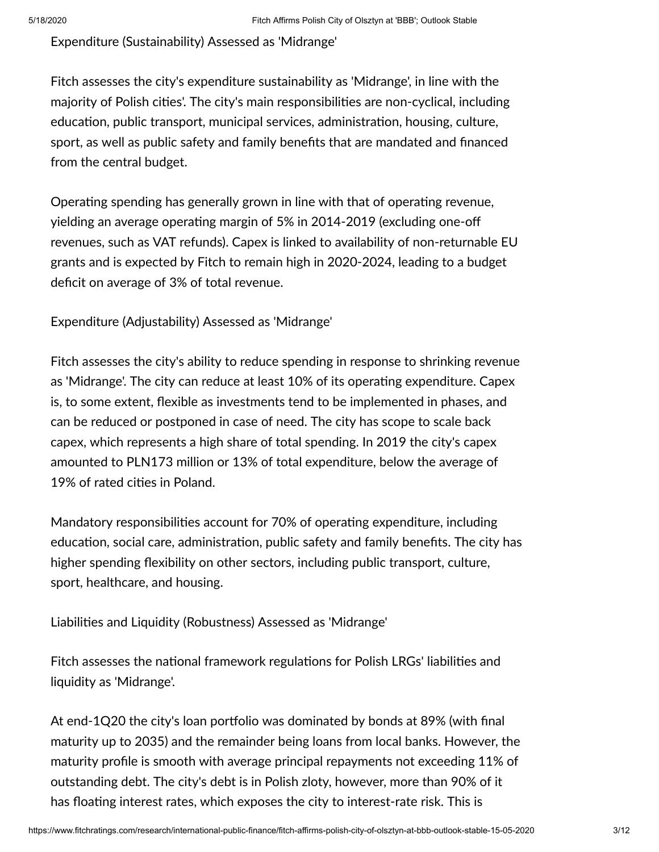Expenditure (Sustainability) Assessed as 'Midrange'

Fitch assesses the city's expenditure sustainability as 'Midrange', in line with the majority of Polish cities'. The city's main responsibilities are non-cyclical, including education, public transport, municipal services, administration, housing, culture, sport, as well as public safety and family benefits that are mandated and financed from the central budget.

Operating spending has generally grown in line with that of operating revenue, yielding an average operating margin of 5% in 2014-2019 (excluding one-off revenues, such as VAT refunds). Capex is linked to availability of non-returnable EU grants and is expected by Fitch to remain high in 2020-2024, leading to a budget deficit on average of 3% of total revenue.

Expenditure (Adjustability) Assessed as 'Midrange'

Fitch assesses the city's ability to reduce spending in response to shrinking revenue as 'Midrange'. The city can reduce at least 10% of its operating expenditure. Capex is, to some extent, flexible as investments tend to be implemented in phases, and can be reduced or postponed in case of need. The city has scope to scale back capex, which represents a high share of total spending. In 2019 the city's capex amounted to PLN173 million or 13% of total expenditure, below the average of 19% of rated cities in Poland.

Mandatory responsibilities account for 70% of operating expenditure, including education, social care, administration, public safety and family benefits. The city has higher spending flexibility on other sectors, including public transport, culture, sport, healthcare, and housing.

Liabilities and Liquidity (Robustness) Assessed as 'Midrange'

Fitch assesses the national framework regulations for Polish LRGs' liabilities and liquidity as 'Midrange'.

At end-1Q20 the city's loan portfolio was dominated by bonds at 89% (with final maturity up to 2035) and the remainder being loans from local banks. However, the maturity profile is smooth with average principal repayments not exceeding 11% of outstanding debt. The city's debt is in Polish zloty, however, more than 90% of it has floating interest rates, which exposes the city to interest-rate risk. This is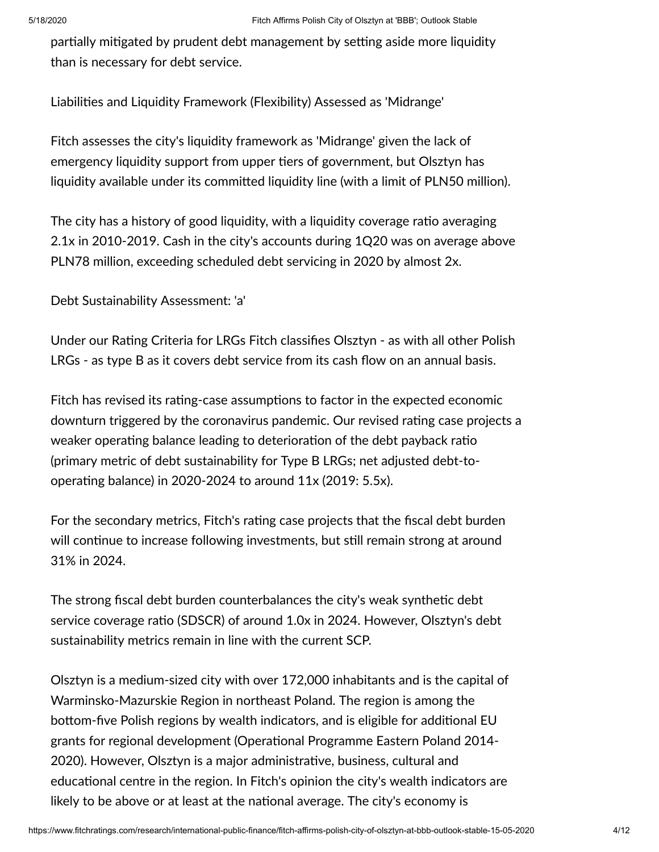partially mitigated by prudent debt management by setting aside more liquidity than is necessary for debt service.

Liabilities and Liquidity Framework (Flexibility) Assessed as 'Midrange'

Fitch assesses the city's liquidity framework as 'Midrange' given the lack of emergency liquidity support from upper tiers of government, but Olsztyn has liquidity available under its committed liquidity line (with a limit of PLN50 million).

The city has a history of good liquidity, with a liquidity coverage ratio averaging 2.1x in 2010-2019. Cash in the city's accounts during 1Q20 was on average above PLN78 million, exceeding scheduled debt servicing in 2020 by almost 2x.

Debt Sustainability Assessment: 'a'

Under our Rating Criteria for LRGs Fitch classifies Olsztyn - as with all other Polish LRGs - as type B as it covers debt service from its cash flow on an annual basis.

Fitch has revised its rating-case assumptions to factor in the expected economic downturn triggered by the coronavirus pandemic. Our revised rating case projects a weaker operating balance leading to deterioration of the debt payback ratio (primary metric of debt sustainability for Type B LRGs; net adjusted debt-tooperating balance) in 2020-2024 to around  $11x$  (2019: 5.5x).

For the secondary metrics, Fitch's rating case projects that the fiscal debt burden will continue to increase following investments, but still remain strong at around 31% in 2024.

The strong fiscal debt burden counterbalances the city's weak synthetic debt service coverage ratio (SDSCR) of around 1.0x in 2024. However, Olsztyn's debt sustainability metrics remain in line with the current SCP.

Olsztyn is a medium-sized city with over 172,000 inhabitants and is the capital of Warminsko-Mazurskie Region in northeast Poland. The region is among the bottom-five Polish regions by wealth indicators, and is eligible for additional EU grants for regional development (Operational Programme Eastern Poland 2014-2020). However, Olsztyn is a major administrative, business, cultural and educational centre in the region. In Fitch's opinion the city's wealth indicators are likely to be above or at least at the national average. The city's economy is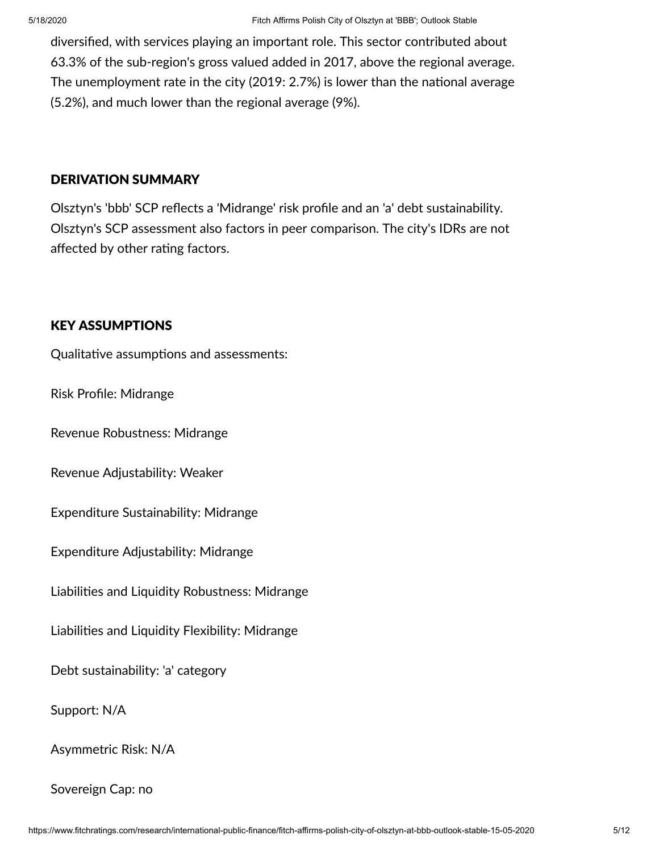diversified, with services playing an important role. This sector contributed about 63.3% of the sub-region's gross valued added in 2017, above the regional average. The unemployment rate in the city (2019: 2.7%) is lower than the national average (5.2%), and much lower than the regional average (9%).

#### DERIVATION SUMMARY

Olsztyn's 'bbb' SCP reflects a 'Midrange' risk profile and an 'a' debt sustainability. Olsztyn's SCP assessment also factors in peer comparison. The city's IDRs are not affected by other rating factors.

#### KEY ASSUMPTIONS

Qualitative assumptions and assessments:

Risk Profile: Midrange

Revenue Robustness: Midrange

Revenue Adjustability: Weaker

Expenditure Sustainability: Midrange

Expenditure Adjustability: Midrange

Liabilities and Liquidity Robustness: Midrange

Liabilities and Liquidity Flexibility: Midrange

Debt sustainability: 'a' category

Support: N/A

Asymmetric Risk: N/A

Sovereign Cap: no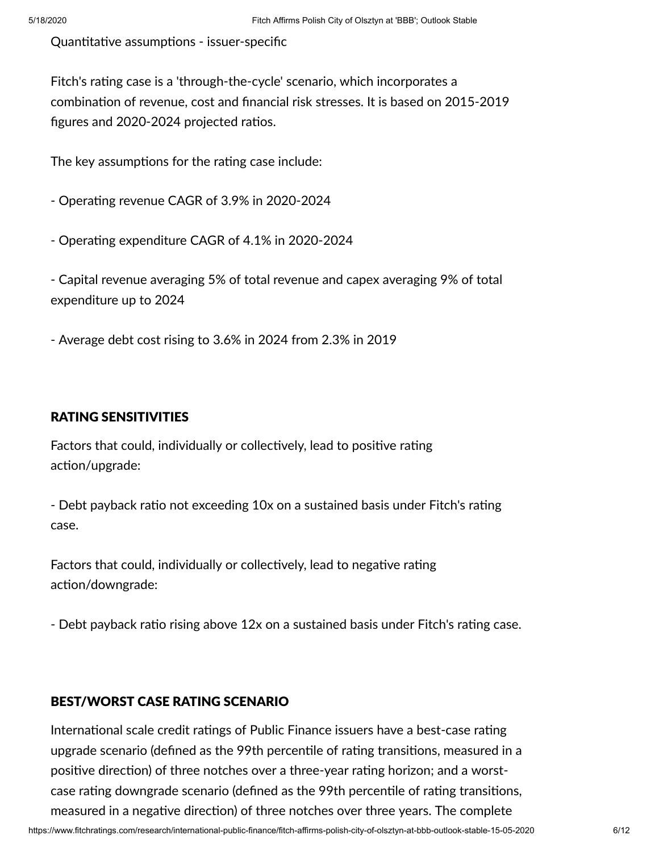Quantitative assumptions - issuer-specific

Fitch's rating case is a 'through-the-cycle' scenario, which incorporates a combination of revenue, cost and financial risk stresses. It is based on 2015-2019 figures and 2020-2024 projected ratios.

The key assumptions for the rating case include:

- Operating revenue CAGR of 3.9% in 2020-2024

- Operating expenditure CAGR of 4.1% in 2020-2024

- Capital revenue averaging 5% of total revenue and capex averaging 9% of total expenditure up to 2024

- Average debt cost rising to 3.6% in 2024 from 2.3% in 2019

# RATING SENSITIVITIES

Factors that could, individually or collectively, lead to positive rating action/upgrade:

- Debt payback ratio not exceeding 10x on a sustained basis under Fitch's rating case.

Factors that could, individually or collectively, lead to negative rating action/downgrade:

- Debt payback ratio rising above 12x on a sustained basis under Fitch's rating case.

# BEST/WORST CASE RATING SCENARIO

International scale credit ratings of Public Finance issuers have a best-case rating upgrade scenario (defined as the 99th percentile of rating transitions, measured in a positive direction) of three notches over a three-year rating horizon; and a worstcase rating downgrade scenario (defined as the 99th percentile of rating transitions, measured in a negative direction) of three notches over three years. The complete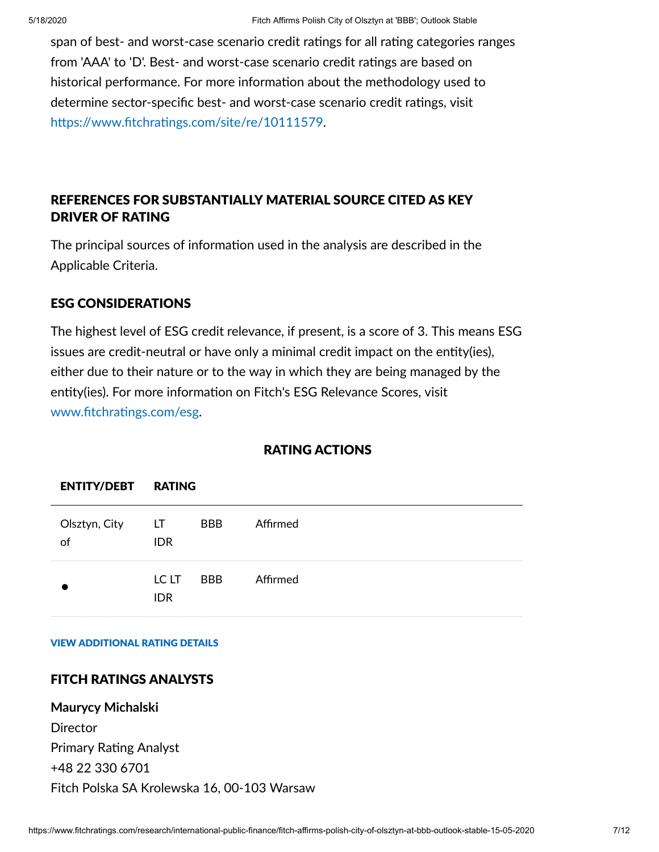span of best- and worst-case scenario credit ratings for all rating categories ranges from 'AAA' to 'D'. Best- and worst-case scenario credit ratings are based on historical performance. For more information about the methodology used to determine sector-specific best- and worst-case scenario credit ratings, visit https://www.fitchratings.com/site/re/10111579.

# REFERENCES FOR SUBSTANTIALLY MATERIAL SOURCE CITED AS KEY DRIVER OF RATING

The principal sources of information used in the analysis are described in the Applicable Criteria.

# ESG CONSIDERATIONS

The highest level of ESG credit relevance, if present, is a score of 3. This means ESG issues are credit-neutral or have only a minimal credit impact on the entity(ies), either due to their nature or to the way in which they are being managed by the entity(ies). For more information on Fitch's ESG Relevance Scores, visit www.fitchratings.com/esg.

### RATING ACTIONS

| <b>ENTITY/DEBT RATING</b> |                     |            |          |
|---------------------------|---------------------|------------|----------|
| Olsztyn, City<br>of       | LT<br><b>IDR</b>    | <b>BBB</b> | Affirmed |
|                           | LC LT<br><b>IDR</b> | <b>BBB</b> | Affirmed |

#### VIEW ADDITIONAL RATING DETAILS

### FITCH RATINGS ANALYSTS

# **Maurycy Michalski**

**Director** Primary Rating Analyst +48 22 330 6701 Fitch Polska SA Krolewska 16, 00-103 Warsaw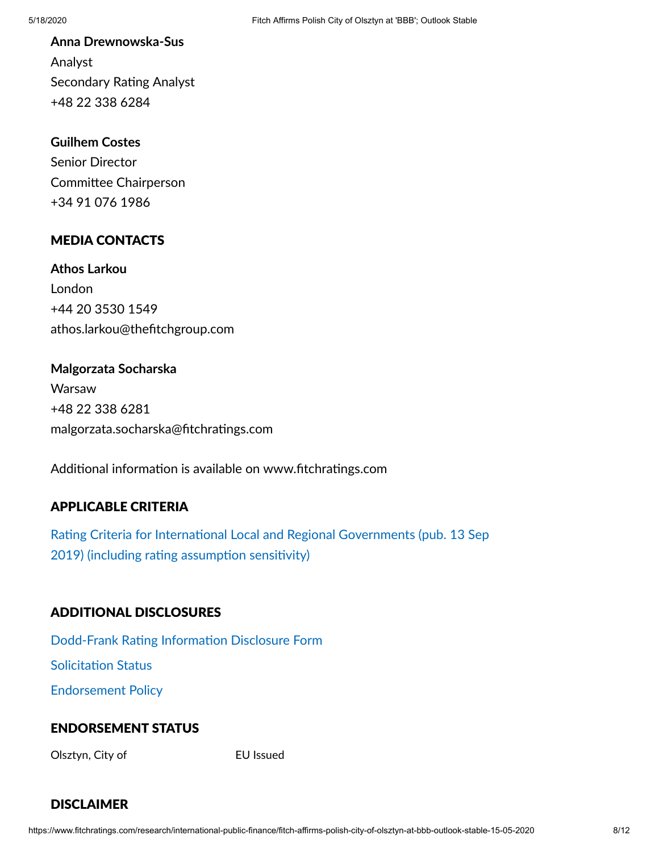#### **Anna Drewnowska-Sus**

Analyst Secondary Rating Analyst +48 22 338 6284

# **Guilhem Costes**

Senior Director Committee Chairperson +34 91 076 1986

# MEDIA CONTACTS

**Athos Larkou** London +44 20 3530 1549 athos.larkou@thefitchgroup.com

# **Malgorzata Socharska Warsaw** +48 22 338 6281 malgorzata.socharska@fitchratings.com

Additional information is available on www.fitchratings.com

# APPLICABLE CRITERIA

Rating Criteria for International Local and Regional [Governments](https://www.fitchratings.com/research/international-public-finance/rating-criteria-for-international-local-regional-governments-13-09-2019) (pub. 13 Sep 2019) (including rating assumption sensitivity)

# ADDITIONAL DISCLOSURES

[Dodd-Frank](https://www.fitchratings.com/research/international-public-finance/fitch-affirms-polish-city-of-olsztyn-at-bbb-outlook-stable-15-05-2020/dodd-frank-disclosure) Rating Information Disclosure Form **Solicitation Status** [Endorsement](https://www.fitchratings.com/regulatory) Policy

# ENDORSEMENT STATUS

Olsztyn, City of EU Issued

# DISCLAIMER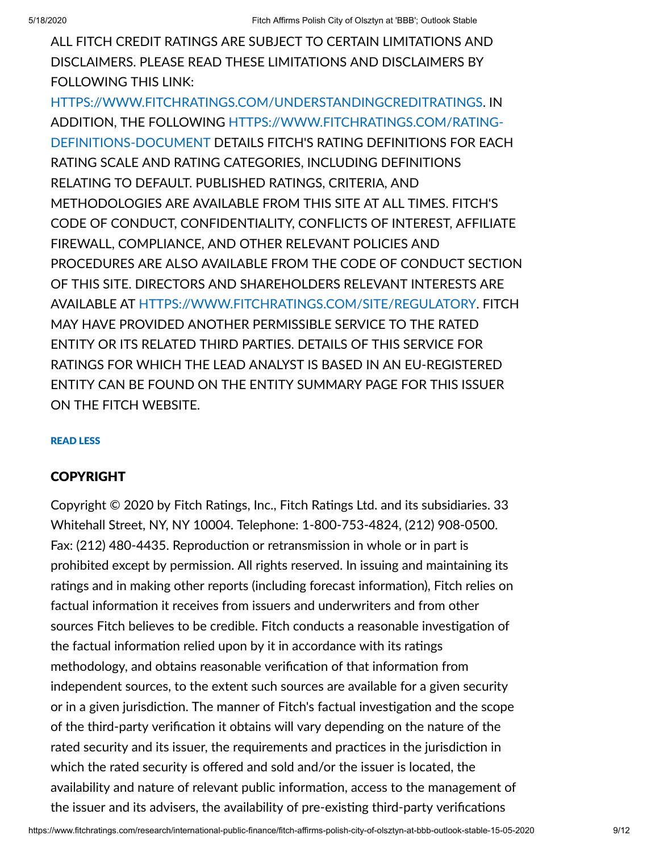ALL FITCH CREDIT RATINGS ARE SUBJECT TO CERTAIN LIMITATIONS AND DISCLAIMERS. PLEASE READ THESE LIMITATIONS AND DISCLAIMERS BY FOLLOWING THIS LINK:

[HTTPS://WWW.FITCHRATINGS.COM/UNDERSTANDINGCREDITRATINGS.](https://www.fitchratings.com/UNDERSTANDINGCREDITRATINGS) IN ADDITION, THE FOLLOWING [HTTPS://WWW.FITCHRATINGS.COM/RATING-](https://www.fitchratings.com/rating-definitions-document)DEFINITIONS-DOCUMENT DETAILS FITCH'S RATING DEFINITIONS FOR EACH RATING SCALE AND RATING CATEGORIES, INCLUDING DEFINITIONS RELATING TO DEFAULT. PUBLISHED RATINGS, CRITERIA, AND METHODOLOGIES ARE AVAILABLE FROM THIS SITE AT ALL TIMES. FITCH'S CODE OF CONDUCT, CONFIDENTIALITY, CONFLICTS OF INTEREST, AFFILIATE FIREWALL, COMPLIANCE, AND OTHER RELEVANT POLICIES AND PROCEDURES ARE ALSO AVAILABLE FROM THE CODE OF CONDUCT SECTION OF THIS SITE. DIRECTORS AND SHAREHOLDERS RELEVANT INTERESTS ARE AVAILABLE AT [HTTPS://WWW.FITCHRATINGS.COM/SITE/REGULATORY.](https://www.fitchratings.com/site/regulatory) FITCH MAY HAVE PROVIDED ANOTHER PERMISSIBLE SERVICE TO THE RATED ENTITY OR ITS RELATED THIRD PARTIES. DETAILS OF THIS SERVICE FOR RATINGS FOR WHICH THE LEAD ANALYST IS BASED IN AN EU-REGISTERED ENTITY CAN BE FOUND ON THE ENTITY SUMMARY PAGE FOR THIS ISSUER ON THE FITCH WEBSITE.

#### READ LESS

# **COPYRIGHT**

Copyright © 2020 by Fitch Ratings, Inc., Fitch Ratings Ltd. and its subsidiaries. 33 Whitehall Street, NY, NY 10004. Telephone: 1-800-753-4824, (212) 908-0500. Fax: (212) 480-4435. Reproduction or retransmission in whole or in part is prohibited except by permission. All rights reserved. In issuing and maintaining its ratings and in making other reports (including forecast information), Fitch relies on factual information it receives from issuers and underwriters and from other sources Fitch believes to be credible. Fitch conducts a reasonable investigation of the factual information relied upon by it in accordance with its ratings methodology, and obtains reasonable verification of that information from independent sources, to the extent such sources are available for a given security or in a given jurisdiction. The manner of Fitch's factual investigation and the scope of the third-party verification it obtains will vary depending on the nature of the rated security and its issuer, the requirements and practices in the jurisdiction in which the rated security is offered and sold and/or the issuer is located, the availability and nature of relevant public information, access to the management of the issuer and its advisers, the availability of pre-existing third-party verifications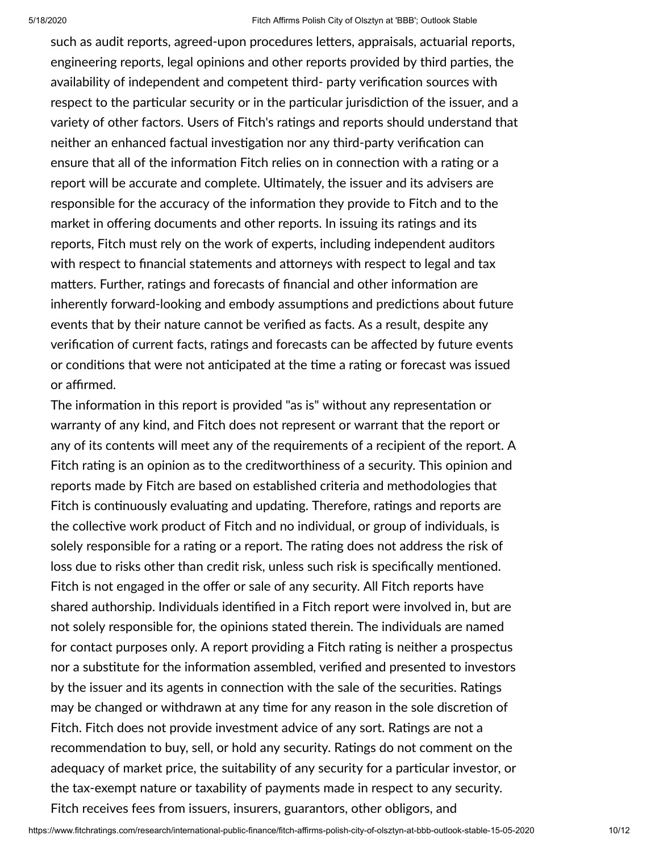such as audit reports, agreed-upon procedures letters, appraisals, actuarial reports, engineering reports, legal opinions and other reports provided by third parties, the availability of independent and competent third- party verification sources with respect to the particular security or in the particular jurisdiction of the issuer, and a variety of other factors. Users of Fitch's ratings and reports should understand that neither an enhanced factual investigation nor any third-party verification can ensure that all of the information Fitch relies on in connection with a rating or a report will be accurate and complete. Ultimately, the issuer and its advisers are responsible for the accuracy of the information they provide to Fitch and to the market in offering documents and other reports. In issuing its ratings and its reports, Fitch must rely on the work of experts, including independent auditors with respect to financial statements and attorneys with respect to legal and tax matters. Further, ratings and forecasts of financial and other information are inherently forward-looking and embody assumptions and predictions about future events that by their nature cannot be verified as facts. As a result, despite any verification of current facts, ratings and forecasts can be affected by future events or conditions that were not anticipated at the time a rating or forecast was issued or affirmed.

The information in this report is provided "as is" without any representation or warranty of any kind, and Fitch does not represent or warrant that the report or any of its contents will meet any of the requirements of a recipient of the report. A Fitch rating is an opinion as to the creditworthiness of a security. This opinion and reports made by Fitch are based on established criteria and methodologies that Fitch is continuously evaluating and updating. Therefore, ratings and reports are the collective work product of Fitch and no individual, or group of individuals, is solely responsible for a rating or a report. The rating does not address the risk of loss due to risks other than credit risk, unless such risk is specifically mentioned. Fitch is not engaged in the offer or sale of any security. All Fitch reports have shared authorship. Individuals idenfied in a Fitch report were involved in, but are not solely responsible for, the opinions stated therein. The individuals are named for contact purposes only. A report providing a Fitch rating is neither a prospectus nor a substitute for the information assembled, verified and presented to investors by the issuer and its agents in connection with the sale of the securities. Ratings may be changed or withdrawn at any time for any reason in the sole discretion of Fitch. Fitch does not provide investment advice of any sort. Ratings are not a recommendation to buy, sell, or hold any security. Ratings do not comment on the adequacy of market price, the suitability of any security for a particular investor, or the tax-exempt nature or taxability of payments made in respect to any security.

Fitch receives fees from issuers, insurers, guarantors, other obligors, and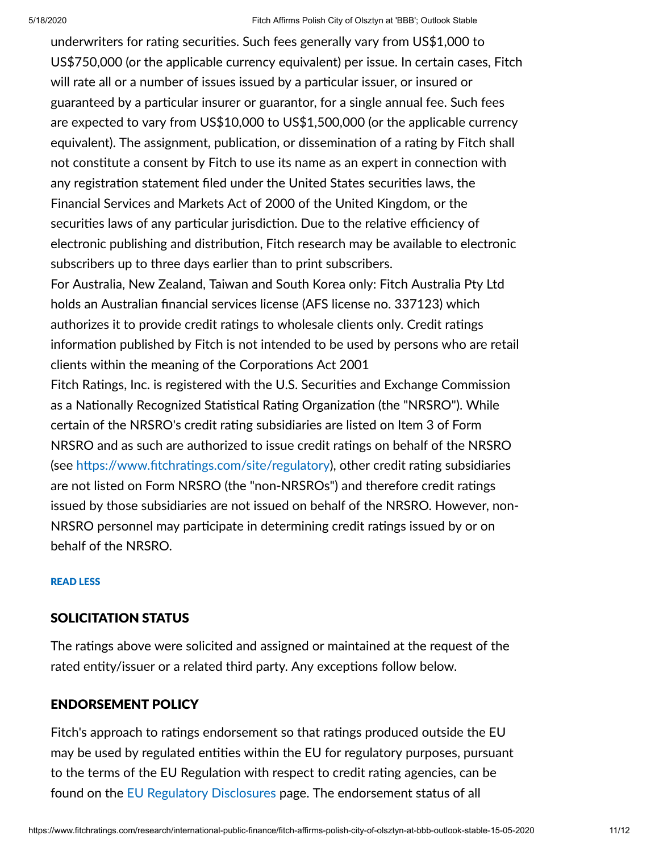underwriters for rating securities. Such fees generally vary from US\$1,000 to US\$750,000 (or the applicable currency equivalent) per issue. In certain cases, Fitch will rate all or a number of issues issued by a particular issuer, or insured or guaranteed by a particular insurer or guarantor, for a single annual fee. Such fees are expected to vary from US\$10,000 to US\$1,500,000 (or the applicable currency equivalent). The assignment, publication, or dissemination of a rating by Fitch shall not constitute a consent by Fitch to use its name as an expert in connection with any registration statement filed under the United States securities laws, the Financial Services and Markets Act of 2000 of the United Kingdom, or the securities laws of any particular jurisdiction. Due to the relative efficiency of electronic publishing and distribution, Fitch research may be available to electronic subscribers up to three days earlier than to print subscribers. For Australia, New Zealand, Taiwan and South Korea only: Fitch Australia Pty Ltd holds an Australian financial services license (AFS license no. 337123) which authorizes it to provide credit ratings to wholesale clients only. Credit ratings

information published by Fitch is not intended to be used by persons who are retail clients within the meaning of the Corporations Act 2001

Fitch Ratings, Inc. is registered with the U.S. Securities and Exchange Commission as a Nationally Recognized Statistical Rating Organization (the "NRSRO"). While certain of the NRSRO's credit rating subsidiaries are listed on Item 3 of Form NRSRO and as such are authorized to issue credit ratings on behalf of the NRSRO (see https://www.fitchratings.com/site/regulatory), other credit rating subsidiaries are not listed on Form NRSRO (the "non-NRSROs") and therefore credit ratings issued by those subsidiaries are not issued on behalf of the NRSRO. However, non-NRSRO personnel may participate in determining credit ratings issued by or on behalf of the NRSRO.

#### READ LESS

#### <span id="page-10-0"></span>SOLICITATION STATUS

The ratings above were solicited and assigned or maintained at the request of the rated entity/issuer or a related third party. Any exceptions follow below.

#### ENDORSEMENT POLICY

Fitch's approach to ratings endorsement so that ratings produced outside the EU may be used by regulated entities within the EU for regulatory purposes, pursuant to the terms of the EU Regulation with respect to credit rating agencies, can be found on the EU Regulatory [Disclosures](https://www.fitchratings.com/regulatory) page. The endorsement status of all